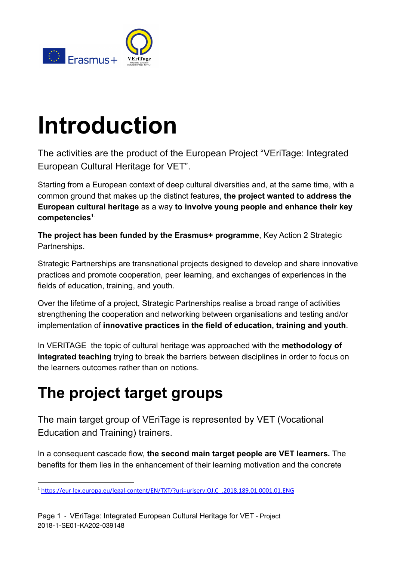

# **Introduction**

The activities are the product of the European Project "VEriTage: Integrated European Cultural Heritage for VET".

Starting from a European context of deep cultural diversities and, at the same time, with a common ground that makes up the distinct features, **the project wanted to address the European cultural heritage** as a way **to involve young people and enhance their key competencies<sup>1</sup>**.

**The project has been funded by the Erasmus+ programme**, Key Action 2 Strategic Partnerships.

Strategic Partnerships are transnational projects designed to develop and share innovative practices and promote cooperation, peer learning, and exchanges of experiences in the fields of education, training, and youth.

Over the lifetime of a project, Strategic Partnerships realise a broad range of activities strengthening the cooperation and networking between organisations and testing and/or implementation of **innovative practices in the field of education, training and youth**.

In VERITAGE the topic of cultural heritage was approached with the **methodology of integrated teaching** trying to break the barriers between disciplines in order to focus on the learners outcomes rather than on notions.

# **The project target groups**

The main target group of VEriTage is represented by VET (Vocational Education and Training) trainers.

In a consequent cascade flow, **the second main target people are VET learners.** The benefits for them lies in the enhancement of their learning motivation and the concrete

<sup>1</sup> [https://eur-lex.europa.eu/legal-content/EN/TXT/?uri=uriserv:OJ.C\\_.2018.189.01.0001.01.ENG](https://eur-lex.europa.eu/legal-content/EN/TXT/?uri=uriserv:OJ.C_.2018.189.01.0001.01.ENG)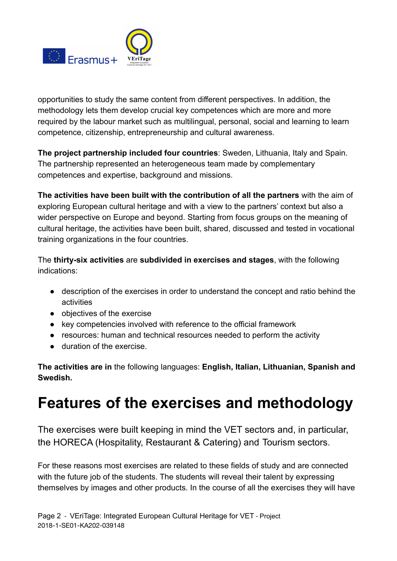

opportunities to study the same content from different perspectives. In addition, the methodology lets them develop crucial key competences which are more and more required by the labour market such as multilingual, personal, social and learning to learn competence, citizenship, entrepreneurship and cultural awareness.

**The project partnership included four countries**: Sweden, Lithuania, Italy and Spain. The partnership represented an heterogeneous team made by complementary competences and expertise, background and missions.

**The activities have been built with the contribution of all the partners** with the aim of exploring European cultural heritage and with a view to the partners' context but also a wider perspective on Europe and beyond. Starting from focus groups on the meaning of cultural heritage, the activities have been built, shared, discussed and tested in vocational training organizations in the four countries.

The **thirty-six activities** are **subdivided in exercises and stages**, with the following indications:

- description of the exercises in order to understand the concept and ratio behind the activities
- objectives of the exercise
- key competencies involved with reference to the official framework
- resources: human and technical resources needed to perform the activity
- duration of the exercise.

**The activities are in** the following languages: **English, Italian, Lithuanian, Spanish and Swedish.**

## **Features of the exercises and methodology**

The exercises were built keeping in mind the VET sectors and, in particular, the HORECA (Hospitality, Restaurant & Catering) and Tourism sectors.

For these reasons most exercises are related to these fields of study and are connected with the future job of the students. The students will reveal their talent by expressing themselves by images and other products. In the course of all the exercises they will have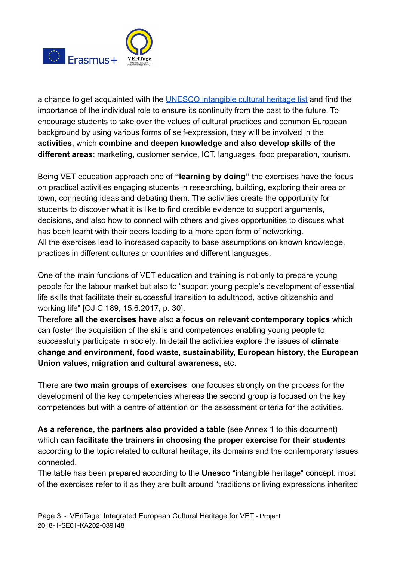

a chance to get acquainted with the [UNESCO intangible cultural heritage list](https://ich.unesco.org/en/lists) and find the importance of the individual role to ensure its continuity from the past to the future. To encourage students to take over the values of cultural practices and common European background by using various forms of self-expression, they will be involved in the **activities**, which **combine and deepen knowledge and also develop skills of the different areas**: marketing, customer service, ICT, languages, food preparation, tourism.

Being VET education approach one of **"learning by doing"** the exercises have the focus on practical activities engaging students in researching, building, exploring their area or town, connecting ideas and debating them. The activities create the opportunity for students to discover what it is like to find credible evidence to support arguments, decisions, and also how to connect with others and gives opportunities to discuss what has been learnt with their peers leading to a more open form of networking. All the exercises lead to increased capacity to base assumptions on known knowledge, practices in different cultures or countries and different languages.

One of the main functions of VET education and training is not only to prepare young people for the labour market but also to "support young people's development of essential life skills that facilitate their successful transition to adulthood, active citizenship and working life" [OJ C 189, 15.6.2017, p. 30].

Therefore **all the exercises have** also **a focus on relevant contemporary topics** which can foster the acquisition of the skills and competences enabling young people to successfully participate in society. In detail the activities explore the issues of **climate change and environment, food waste, sustainability, European history, the European Union values, migration and cultural awareness,** etc.

There are **two main groups of exercises**: one focuses strongly on the process for the development of the key competencies whereas the second group is focused on the key competences but with a centre of attention on the assessment criteria for the activities.

**As a reference, the partners also provided a table** (see Annex 1 to this document) which **can facilitate the trainers in choosing the proper exercise for their students** according to the topic related to cultural heritage, its domains and the contemporary issues connected.

The table has been prepared according to the **Unesco** "intangible heritage" concept: most of the exercises refer to it as they are built around "traditions or living expressions inherited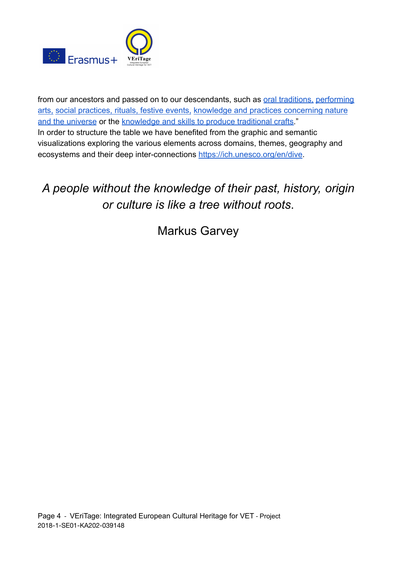

from our ancestors and passed on to our descendants, such as [oral traditions,](https://ich.unesco.org//index.php?lg=en&pg=00053) [performing](https://ich.unesco.org//index.php?lg=en&pg=00054) [arts,](https://ich.unesco.org//index.php?lg=en&pg=00054) [social practices, rituals, festive events,](https://ich.unesco.org//index.php?lg=en&pg=00055) knowledge [and practices concerning nature](https://ich.unesco.org//index.php?lg=en&pg=00056) [and the universe](https://ich.unesco.org//index.php?lg=en&pg=00056) or the [knowledge and skills to produce](https://ich.unesco.org//index.php?lg=en&pg=00057) traditional crafts." In order to structure the table we have benefited from the graphic and semantic visualizations exploring the various elements across domains, themes, geography and ecosystems and their deep inter-connections <https://ich.unesco.org/en/dive>.

### *A people without the knowledge of their past, history, origin or culture is like a tree without roots*.

Markus Garvey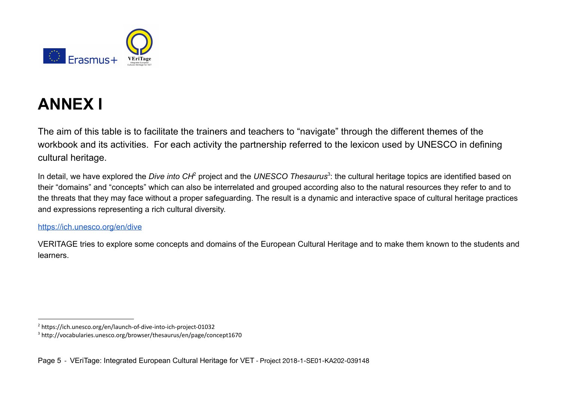

# **ANNEX I**

The aim of this table is to facilitate the trainers and teachers to "navigate" through the different themes of the workbook and its activities. For each activity the partnership referred to the lexicon used by UNESCO in defining cultural heritage.

In detail, we have explored the *Dive into CH<sup>2</sup>* project and the *UNESCO Thesaurus*<sup>3</sup>: the cultural heritage topics are identified based on their "domains" and "concepts" which can also be interrelated and grouped according also to the natural resources they refer to and to the threats that they may face without a proper safeguarding. The result is a dynamic and interactive space of cultural heritage practices and expressions representing a rich cultural diversity.

#### <https://ich.unesco.org/en/dive>

VERITAGE tries to explore some concepts and domains of the European Cultural Heritage and to make them known to the students and learners.

<sup>2</sup> https://ich.unesco.org/en/launch-of-dive-into-ich-project-01032

<sup>3</sup> http://vocabularies.unesco.org/browser/thesaurus/en/page/concept1670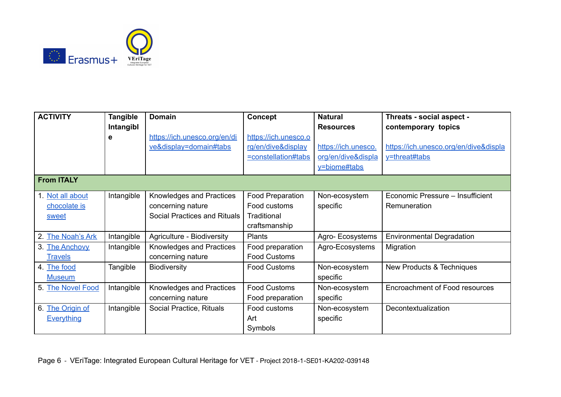

| <b>ACTIVITY</b>                           | <b>Tangible</b><br>Intangibl | <b>Domain</b>                                                                        | <b>Concept</b>                                                           | <b>Natural</b><br><b>Resources</b>                        | Threats - social aspect -<br>contemporary topics       |
|-------------------------------------------|------------------------------|--------------------------------------------------------------------------------------|--------------------------------------------------------------------------|-----------------------------------------------------------|--------------------------------------------------------|
|                                           | е                            | https://ich.unesco.org/en/di<br>ve&display=domain#tabs                               | https://ich.unesco.o<br>rg/en/dive&display<br><u>=constellation#tabs</u> | https://ich.unesco.<br>org/en/dive&displa<br>y=biome#tabs | https://ich.unesco.org/en/dive&displa<br>y=threat#tabs |
| <b>From ITALY</b>                         |                              |                                                                                      |                                                                          |                                                           |                                                        |
| 1. Not all about<br>chocolate is<br>sweet | Intangible                   | Knowledges and Practices<br>concerning nature<br><b>Social Practices and Rituals</b> | <b>Food Preparation</b><br>Food customs<br>Traditional<br>craftsmanship  | Non-ecosystem<br>specific                                 | Economic Pressure - Insufficient<br>Remuneration       |
| 2. The Noah's Ark                         | Intangible                   | Agriculture - Biodiversity                                                           | <b>Plants</b>                                                            | Agro-Ecosystems                                           | <b>Environmental Degradation</b>                       |
| 3. The Anchovy<br><b>Travels</b>          | Intangible                   | Knowledges and Practices<br>concerning nature                                        | Food preparation<br><b>Food Customs</b>                                  | Agro-Ecosystems                                           | Migration                                              |
| 4. The food<br><b>Museum</b>              | Tangible                     | <b>Biodiversity</b>                                                                  | <b>Food Customs</b>                                                      | Non-ecosystem<br>specific                                 | New Products & Techniques                              |
| 5. The Novel Food                         | Intangible                   | Knowledges and Practices<br>concerning nature                                        | <b>Food Customs</b><br>Food preparation                                  | Non-ecosystem<br>specific                                 | Encroachment of Food resources                         |
| 6. The Origin of<br><b>Everything</b>     | Intangible                   | Social Practice, Rituals                                                             | Food customs<br>Art<br>Symbols                                           | Non-ecosystem<br>specific                                 | Decontextualization                                    |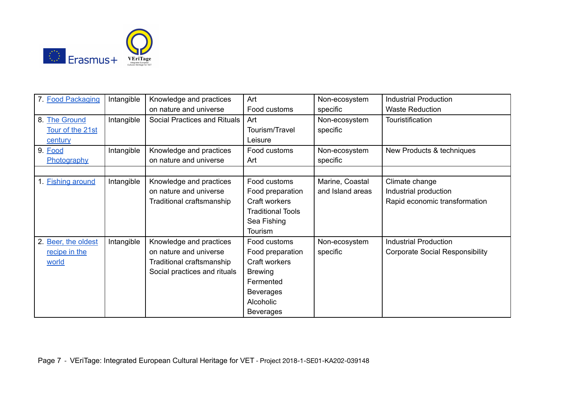

| 7. Food Packaging        | Intangible | Knowledge and practices      | Art                      | Non-ecosystem    | <b>Industrial Production</b>           |
|--------------------------|------------|------------------------------|--------------------------|------------------|----------------------------------------|
|                          |            | on nature and universe       | Food customs             | specific         | <b>Waste Reduction</b>                 |
| 8. The Ground            | Intangible | Social Practices and Rituals | Art                      | Non-ecosystem    | Touristification                       |
| Tour of the 21st         |            |                              | Tourism/Travel           | specific         |                                        |
| century                  |            |                              | Leisure                  |                  |                                        |
| 9. Food                  | Intangible | Knowledge and practices      | Food customs             | Non-ecosystem    | New Products & techniques              |
| Photography              |            | on nature and universe       | Art                      | specific         |                                        |
|                          |            |                              |                          |                  |                                        |
| 1. <b>Fishing around</b> | Intangible | Knowledge and practices      | Food customs             | Marine, Coastal  | Climate change                         |
|                          |            | on nature and universe       | Food preparation         | and Island areas | Industrial production                  |
|                          |            | Traditional craftsmanship    | Craft workers            |                  | Rapid economic transformation          |
|                          |            |                              | <b>Traditional Tools</b> |                  |                                        |
|                          |            |                              | Sea Fishing              |                  |                                        |
|                          |            |                              | Tourism                  |                  |                                        |
| 2. Beer, the oldest      | Intangible | Knowledge and practices      | Food customs             | Non-ecosystem    | <b>Industrial Production</b>           |
| recipe in the            |            | on nature and universe       | Food preparation         | specific         | <b>Corporate Social Responsibility</b> |
| world                    |            | Traditional craftsmanship    | Craft workers            |                  |                                        |
|                          |            | Social practices and rituals | <b>Brewing</b>           |                  |                                        |
|                          |            |                              | Fermented                |                  |                                        |
|                          |            |                              | <b>Beverages</b>         |                  |                                        |
|                          |            |                              | Alcoholic                |                  |                                        |
|                          |            |                              | <b>Beverages</b>         |                  |                                        |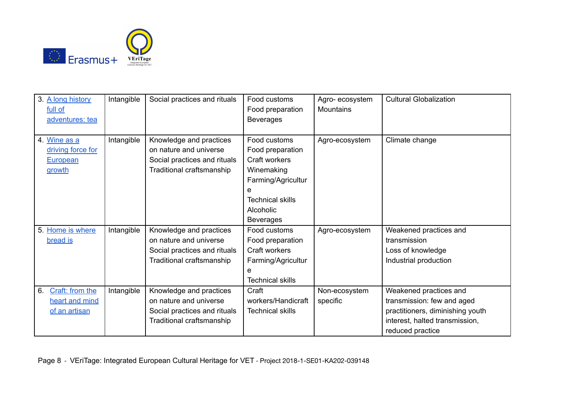

| 3. A long history<br>full of<br>adventures: tea          | Intangible | Social practices and rituals                                                                                   | Food customs<br>Food preparation<br><b>Beverages</b>                                                                                                   | Agro-ecosystem<br><b>Mountains</b> | <b>Cultural Globalization</b>                                                                                                                  |
|----------------------------------------------------------|------------|----------------------------------------------------------------------------------------------------------------|--------------------------------------------------------------------------------------------------------------------------------------------------------|------------------------------------|------------------------------------------------------------------------------------------------------------------------------------------------|
| 4. Wine as a<br>driving force for<br>European<br>growth  | Intangible | Knowledge and practices<br>on nature and universe<br>Social practices and rituals<br>Traditional craftsmanship | Food customs<br>Food preparation<br>Craft workers<br>Winemaking<br>Farming/Agricultur<br>е<br><b>Technical skills</b><br>Alcoholic<br><b>Beverages</b> | Agro-ecosystem                     | Climate change                                                                                                                                 |
| 5. Home is where<br>bread is                             | Intangible | Knowledge and practices<br>on nature and universe<br>Social practices and rituals<br>Traditional craftsmanship | Food customs<br>Food preparation<br>Craft workers<br>Farming/Agricultur<br>e<br><b>Technical skills</b>                                                | Agro-ecosystem                     | Weakened practices and<br>transmission<br>Loss of knowledge<br>Industrial production                                                           |
| Craft: from the<br>6.<br>heart and mind<br>of an artisan | Intangible | Knowledge and practices<br>on nature and universe<br>Social practices and rituals<br>Traditional craftsmanship | Craft<br>workers/Handicraft<br><b>Technical skills</b>                                                                                                 | Non-ecosystem<br>specific          | Weakened practices and<br>transmission: few and aged<br>practitioners, diminishing youth<br>interest, halted transmission,<br>reduced practice |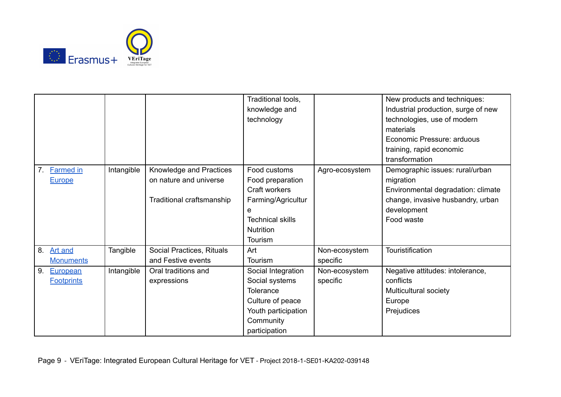

|                        |            |                           | Traditional tools,      |                | New products and techniques:        |
|------------------------|------------|---------------------------|-------------------------|----------------|-------------------------------------|
|                        |            |                           | knowledge and           |                | Industrial production, surge of new |
|                        |            |                           | technology              |                | technologies, use of modern         |
|                        |            |                           |                         |                | materials                           |
|                        |            |                           |                         |                | Economic Pressure: arduous          |
|                        |            |                           |                         |                | training, rapid economic            |
|                        |            |                           |                         |                | transformation                      |
| <b>Farmed in</b><br>7. | Intangible | Knowledge and Practices   | Food customs            | Agro-ecosystem | Demographic issues: rural/urban     |
| <b>Europe</b>          |            | on nature and universe    | Food preparation        |                | migration                           |
|                        |            |                           | Craft workers           |                | Environmental degradation: climate  |
|                        |            | Traditional craftsmanship | Farming/Agricultur      |                | change, invasive husbandry, urban   |
|                        |            |                           | e                       |                | development                         |
|                        |            |                           | <b>Technical skills</b> |                | Food waste                          |
|                        |            |                           | Nutrition               |                |                                     |
|                        |            |                           | Tourism                 |                |                                     |
| 8.<br><b>Art and</b>   | Tangible   | Social Practices, Rituals | Art                     | Non-ecosystem  | Touristification                    |
| <b>Monuments</b>       |            | and Festive events        | Tourism                 | specific       |                                     |
| 9.<br>European         | Intangible | Oral traditions and       | Social Integration      | Non-ecosystem  | Negative attitudes: intolerance,    |
| <b>Footprints</b>      |            | expressions               | Social systems          | specific       | conflicts                           |
|                        |            |                           | Tolerance               |                | Multicultural society               |
|                        |            |                           | Culture of peace        |                | Europe                              |
|                        |            |                           | Youth participation     |                | Prejudices                          |
|                        |            |                           | Community               |                |                                     |
|                        |            |                           | participation           |                |                                     |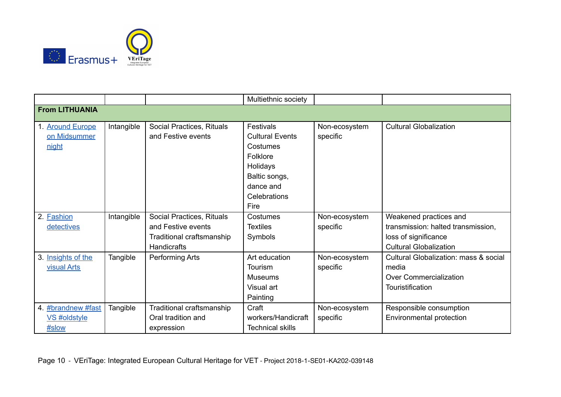

|                       |            |                           | Multiethnic society     |               |                                       |
|-----------------------|------------|---------------------------|-------------------------|---------------|---------------------------------------|
| <b>From LITHUANIA</b> |            |                           |                         |               |                                       |
| 1. Around Europe      | Intangible | Social Practices, Rituals | <b>Festivals</b>        | Non-ecosystem | <b>Cultural Globalization</b>         |
| on Midsummer          |            | and Festive events        | <b>Cultural Events</b>  | specific      |                                       |
| night                 |            |                           | Costumes                |               |                                       |
|                       |            |                           | Folklore                |               |                                       |
|                       |            |                           | Holidays                |               |                                       |
|                       |            |                           | Baltic songs,           |               |                                       |
|                       |            |                           | dance and               |               |                                       |
|                       |            |                           | Celebrations            |               |                                       |
|                       |            |                           | Fire                    |               |                                       |
| 2. Fashion            | Intangible | Social Practices, Rituals | Costumes                | Non-ecosystem | Weakened practices and                |
| detectives            |            | and Festive events        | <b>Textiles</b>         | specific      | transmission: halted transmission,    |
|                       |            | Traditional craftsmanship | Symbols                 |               | loss of significance                  |
|                       |            | <b>Handicrafts</b>        |                         |               | <b>Cultural Globalization</b>         |
| 3. Insights of the    | Tangible   | Performing Arts           | Art education           | Non-ecosystem | Cultural Globalization: mass & social |
| visual Arts           |            |                           | <b>Tourism</b>          | specific      | media                                 |
|                       |            |                           | <b>Museums</b>          |               | <b>Over Commercialization</b>         |
|                       |            |                           | Visual art              |               | Touristification                      |
|                       |            |                           | Painting                |               |                                       |
| 4. #brandnew #fast    | Tangible   | Traditional craftsmanship | Craft                   | Non-ecosystem | Responsible consumption               |
| VS #oldstyle          |            | Oral tradition and        | workers/Handicraft      | specific      | Environmental protection              |
| #slow                 |            | expression                | <b>Technical skills</b> |               |                                       |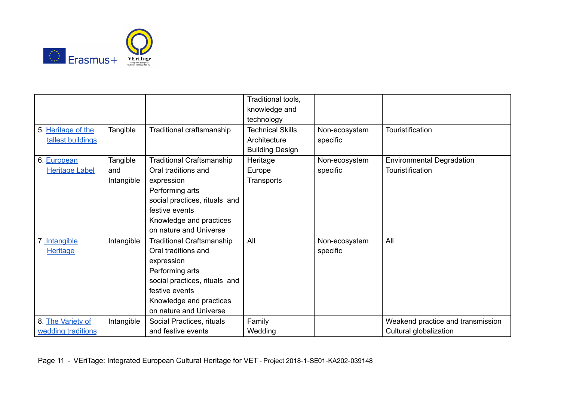

|                       |            |                                  | Traditional tools,      |               |                                   |
|-----------------------|------------|----------------------------------|-------------------------|---------------|-----------------------------------|
|                       |            |                                  |                         |               |                                   |
|                       |            |                                  | knowledge and           |               |                                   |
|                       |            |                                  | technology              |               |                                   |
| 5. Heritage of the    | Tangible   | Traditional craftsmanship        | <b>Technical Skills</b> | Non-ecosystem | Touristification                  |
| tallest buildings     |            |                                  | Architecture            | specific      |                                   |
|                       |            |                                  | <b>Building Design</b>  |               |                                   |
| 6. European           | Tangible   | <b>Traditional Craftsmanship</b> | Heritage                | Non-ecosystem | <b>Environmental Degradation</b>  |
| <b>Heritage Label</b> | and        | Oral traditions and              | Europe                  | specific      | Touristification                  |
|                       | Intangible | expression                       | Transports              |               |                                   |
|                       |            | Performing arts                  |                         |               |                                   |
|                       |            | social practices, rituals and    |                         |               |                                   |
|                       |            | festive events                   |                         |               |                                   |
|                       |            | Knowledge and practices          |                         |               |                                   |
|                       |            | on nature and Universe           |                         |               |                                   |
| 7 .Intangible         | Intangible | <b>Traditional Craftsmanship</b> | All                     | Non-ecosystem | All                               |
| <b>Heritage</b>       |            | Oral traditions and              |                         | specific      |                                   |
|                       |            | expression                       |                         |               |                                   |
|                       |            | Performing arts                  |                         |               |                                   |
|                       |            | social practices, rituals and    |                         |               |                                   |
|                       |            | festive events                   |                         |               |                                   |
|                       |            | Knowledge and practices          |                         |               |                                   |
|                       |            | on nature and Universe           |                         |               |                                   |
| 8. The Variety of     | Intangible | Social Practices, rituals        | Family                  |               | Weakend practice and transmission |
| wedding traditions    |            | and festive events               | Wedding                 |               | Cultural globalization            |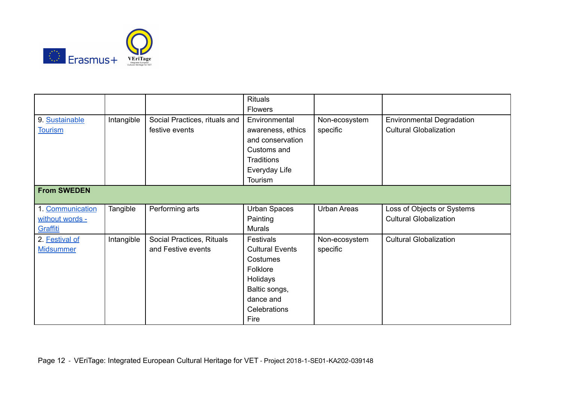

|                    |            |                               | Rituals                |                    |                                  |
|--------------------|------------|-------------------------------|------------------------|--------------------|----------------------------------|
|                    |            |                               | <b>Flowers</b>         |                    |                                  |
| 9. Sustainable     | Intangible | Social Practices, rituals and | Environmental          | Non-ecosystem      | <b>Environmental Degradation</b> |
| <b>Tourism</b>     |            | festive events                | awareness, ethics      | specific           | <b>Cultural Globalization</b>    |
|                    |            |                               | and conservation       |                    |                                  |
|                    |            |                               | Customs and            |                    |                                  |
|                    |            |                               | Traditions             |                    |                                  |
|                    |            |                               | Everyday Life          |                    |                                  |
|                    |            |                               | Tourism                |                    |                                  |
| <b>From SWEDEN</b> |            |                               |                        |                    |                                  |
|                    |            |                               |                        |                    |                                  |
| 1. Communication   | Tangible   | Performing arts               | <b>Urban Spaces</b>    | <b>Urban Areas</b> | Loss of Objects or Systems       |
| without words -    |            |                               | Painting               |                    | <b>Cultural Globalization</b>    |
| Graffiti           |            |                               | <b>Murals</b>          |                    |                                  |
| 2. Festival of     | Intangible | Social Practices, Rituals     | Festivals              | Non-ecosystem      | <b>Cultural Globalization</b>    |
| <b>Midsummer</b>   |            | and Festive events            | <b>Cultural Events</b> | specific           |                                  |
|                    |            |                               | Costumes               |                    |                                  |
|                    |            |                               | Folklore               |                    |                                  |
|                    |            |                               | Holidays               |                    |                                  |
|                    |            |                               | Baltic songs,          |                    |                                  |
|                    |            |                               | dance and              |                    |                                  |
|                    |            |                               | Celebrations           |                    |                                  |
|                    |            |                               | Fire                   |                    |                                  |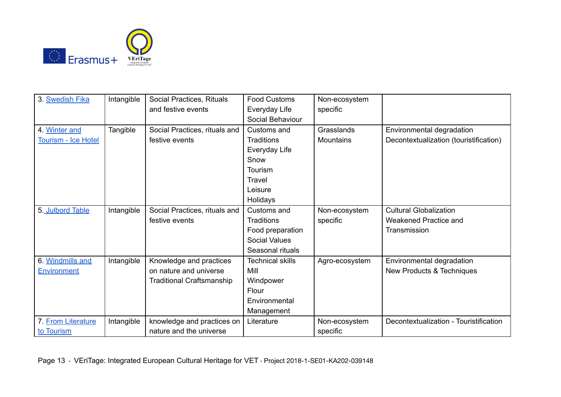

| 3. Swedish Fika            | Intangible | Social Practices, Rituals        | <b>Food Customs</b>     | Non-ecosystem    |                                        |
|----------------------------|------------|----------------------------------|-------------------------|------------------|----------------------------------------|
|                            |            | and festive events               | Everyday Life           | specific         |                                        |
|                            |            |                                  | Social Behaviour        |                  |                                        |
| 4. Winter and              | Tangible   | Social Practices, rituals and    | Customs and             | Grasslands       | Environmental degradation              |
|                            |            |                                  |                         |                  |                                        |
| <b>Tourism - Ice Hotel</b> |            | festive events                   | Traditions              | <b>Mountains</b> | Decontextualization (touristification) |
|                            |            |                                  | Everyday Life           |                  |                                        |
|                            |            |                                  | Snow                    |                  |                                        |
|                            |            |                                  | Tourism                 |                  |                                        |
|                            |            |                                  | Travel                  |                  |                                        |
|                            |            |                                  | Leisure                 |                  |                                        |
|                            |            |                                  | Holidays                |                  |                                        |
| 5. Julbord Table           | Intangible | Social Practices, rituals and    | Customs and             | Non-ecosystem    | <b>Cultural Globalization</b>          |
|                            |            | festive events                   | <b>Traditions</b>       | specific         | Weakened Practice and                  |
|                            |            |                                  | Food preparation        |                  | Transmission                           |
|                            |            |                                  | <b>Social Values</b>    |                  |                                        |
|                            |            |                                  | Seasonal rituals        |                  |                                        |
| 6. Windmills and           | Intangible | Knowledge and practices          | <b>Technical skills</b> | Agro-ecosystem   | Environmental degradation              |
| <b>Environment</b>         |            | on nature and universe           | Mill                    |                  | New Products & Techniques              |
|                            |            | <b>Traditional Craftsmanship</b> | Windpower               |                  |                                        |
|                            |            |                                  | Flour                   |                  |                                        |
|                            |            |                                  | Environmental           |                  |                                        |
|                            |            |                                  | Management              |                  |                                        |
| 7. From Literature         | Intangible | knowledge and practices on       | Literature              | Non-ecosystem    | Decontextualization - Touristification |
| to Tourism                 |            | nature and the universe          |                         | specific         |                                        |